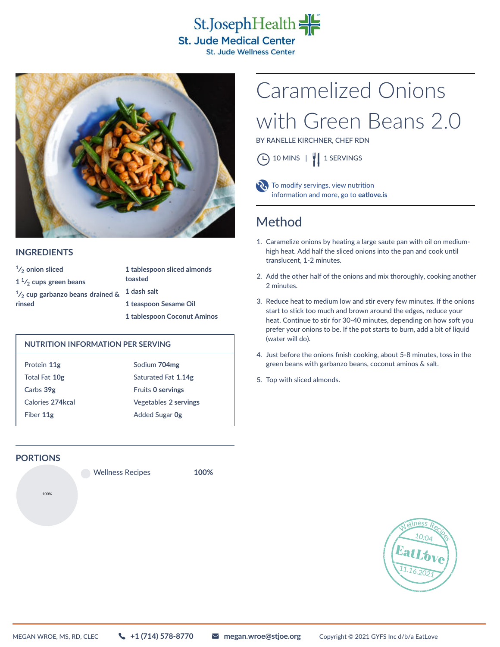



#### **INGREDIENTS**

| $\frac{1}{2}$ onion sliced                 | 1 tablespoon sliced almonds |
|--------------------------------------------|-----------------------------|
| $1\frac{1}{2}$ cups green beans            | toasted                     |
| $\frac{1}{2}$ cup garbanzo beans drained & | 1 dash salt                 |
| rinsed                                     | 1 teaspoon Sesame Oil       |
|                                            | 1 tablespoon Coconut Aminos |

#### **NUTRITION INFORMATION PER SERVING**

| Protein 11g      | Sodium 704mg             |
|------------------|--------------------------|
| Total Fat 10g    | Saturated Fat 1.14g      |
| Carbs 39g        | <b>Fruits 0 servings</b> |
| Calories 274kcal | Vegetables 2 servings    |
| Fiber 11g        | <b>Added Sugar Og</b>    |

### **PORTIONS**

Wellness Recipes **100%**

**100%**

# with Green Beans 2.0 Caramelized Onions

BY RANELLE KIRCHNER, CHEF RDN





 To modify servings, view nutrition information and more, go to **[eatlove.is](https://eatlove.is)**

## Method

- 1. Caramelize onions by heating a large saute pan with oil on mediumhigh heat. Add half the sliced onions into the pan and cook until translucent, 1-2 minutes.
- 2. Add the other half of the onions and mix thoroughly, cooking another 2 minutes.
- 3. Reduce heat to medium low and stir every few minutes. If the onions start to stick too much and brown around the edges, reduce your heat. Continue to stir for 30-40 minutes, depending on how soft you prefer your onions to be. If the pot starts to burn, add a bit of liquid (water will do).
- 4. Just before the onions finish cooking, about 5-8 minutes, toss in the green beans with garbanzo beans, coconut aminos & salt.
- 5. Top with sliced almonds.